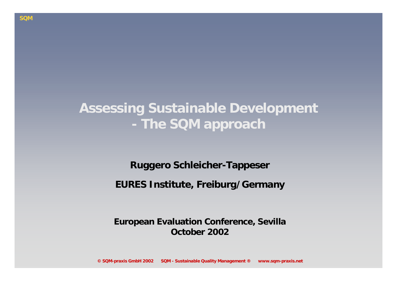### **Assessing Sustainable Development The SQM approach**

**Ruggero Schleicher-Tappeser EURES Institute, Freiburg/Germany**

**European Evaluation Conference, Sevilla October 2002**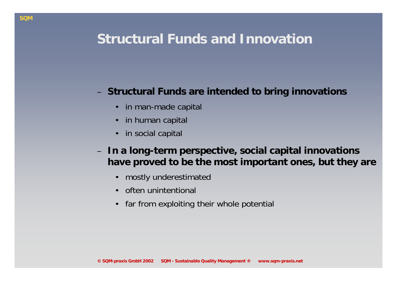### **Structural Funds and Innovation**

#### **Structural Funds are intended to bring innovations**

- •in man-made capital
- •in human capital
- •in social capital
- **In a long-term perspective, social capital innovations have proved to be the most important ones, but they are**
	- •mostly underestimated
	- •often unintentional
	- •far from exploiting their whole potential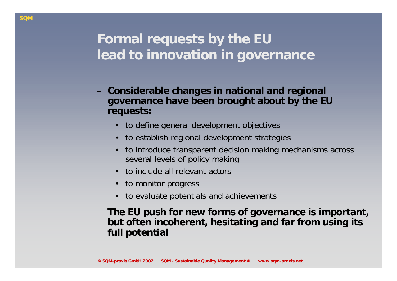## **Formal requests by the EU lead to innovation in governance**

- **Considerable changes in national and regional governance have been brought about by the EU requests:**
	- to define general development objectives
	- •to establish regional development strategies
	- • to introduce transparent decision making mechanisms across several levels of policy making
	- to include all relevant actors
	- to monitor progress
	- $\bullet$ to evaluate potentials and achievements
- – **The EU push for new forms of governance is important, but often incoherent, hesitating and far from using its full potential**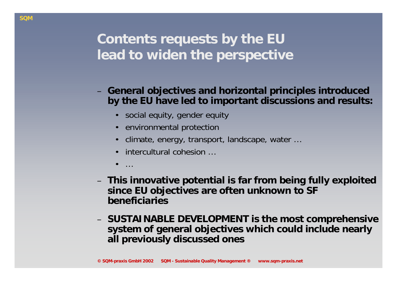# **Contents requests by the EU lead to widen the perspective**

- **General objectives and horizontal principles introduced by the EU have led to important discussions and results:**
	- social equity, gender equity
	- environmental protection
	- •climate, energy, transport, landscape, water …
	- •intercultural cohesion …
	- •…
- **This innovative potential is far from being fully exploited since EU objectives are often unknown to SF beneficiaries**
- **SUSTAINABLE DEVELOPMENT is the most comprehensive system of general objectives which could include nearly all previously discussed ones**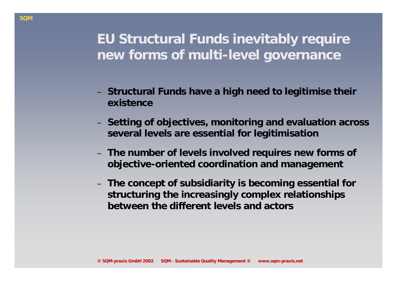### **EU Structural Funds inevitably require new forms of multi-level governance**

- **Structural Funds have a high need to legitimise their existence**
- **Setting of objectives, monitoring and evaluation across several levels are essential for legitimisation**
- **The number of levels involved requires new forms of objective-oriented coordination and management**
- **The concept of subsidiarity is becoming essential for structuring the increasingly complex relationships between the different levels and actors**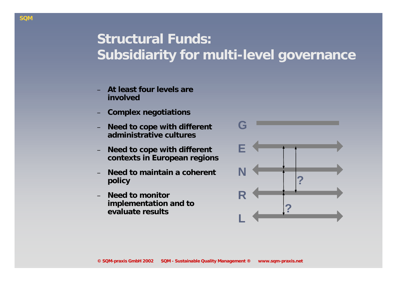## **Structural Funds: Subsidiarity for multi-level governance**

- **At least four levels are involved**
- **Complex negotiations**
- **Need to cope with different administrative cultures**
- **Need to cope with different contexts in European regions**
- **Need to maintain a coherent policy**
- **Need to monitor implementation and to evaluate results**

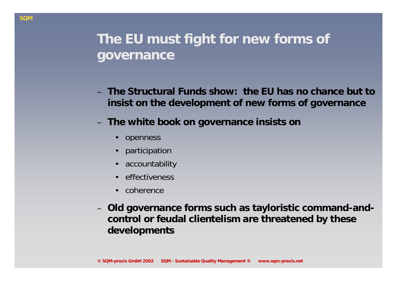## **The EU must fight for new forms of governance**

- **The Structural Funds show: the EU has no chance but to insist on the development of new forms of governance**
- **The white book on governance insists on** 
	- •openness
	- •participation
	- •accountability
	- •effectiveness
	- $\bullet$ coherence
- – **Old governance forms such as tayloristic command-andcontrol or feudal clientelism are threatened by these developments**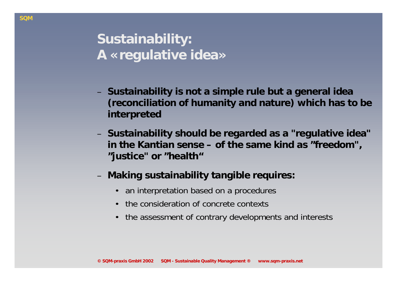- **Sustainability is not a simple rule but a general idea (reconciliation of humanity and nature) which has to be interpreted**
- **Sustainability should be regarded as a "regulative idea" in the Kantian sense – of the same kind as "freedom", "justice" or "health"**
- **Making sustainability tangible requires:**
	- $\bullet$ an interpretation based on a procedures
	- $\bullet$ the consideration of concrete contexts
	- •the assessment of contrary developments and interests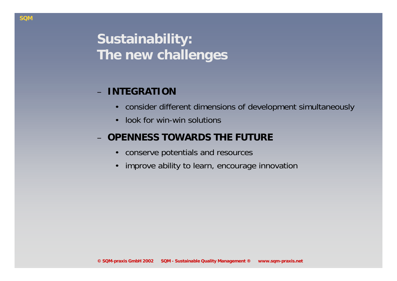# **Sustainability: The new challenges**

### **INTEGRATION**

- •consider different dimensions of development simultaneously
- •look for win-win solutions

### **OPENNESS TOWARDS THE FUTURE**

- •conserve potentials and resources
- •improve ability to learn, encourage innovation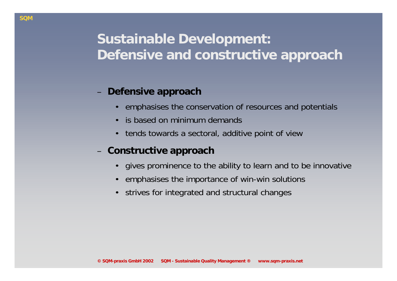## **Sustainable Development: Defensive and constructive approach**

#### **Defensive approach**

- •emphasises the conservation of resources and potentials
- •is based on minimum demands
- •tends towards a sectoral, additive point of view
- **Constructive approach** 
	- $\bullet$ gives prominence to the ability to learn and to be innovative
	- •emphasises the importance of win-win solutions
	- •strives for integrated and structural changes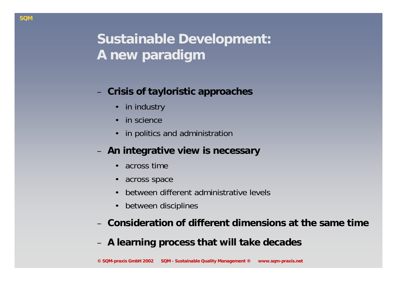# **Sustainable Development: A new paradigm**

#### **Crisis of tayloristic approaches**

- •in industry
- •in science
- •in politics and administration

#### **An integrative view is necessary**

- •across time
- •across space
- •between different administrative levels
- •between disciplines
- **Consideration of different dimensions at the same time**
- **A learning process that will take decades**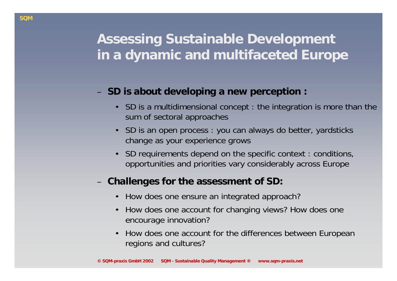### **Assessing Sustainable Development in a dynamic and multifaceted Europe**

#### **SD is about developing a new perception :**

- SD is a multidimensional concept : the integration is more than the sum of sectoral approaches
- SD is an open process : you can always do better, yardsticks change as your experience grows
- • SD requirements depend on the specific context : conditions, opportunities and priorities vary considerably across Europe

#### **Challenges for the assessment of SD:**

- $\bullet$ How does one ensure an integrated approach?
- • How does one account for changing views? How does one encourage innovation?
- • How does one account for the differences between European regions and cultures?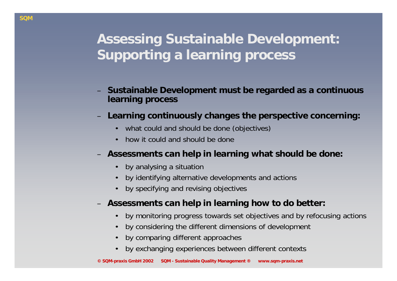# **Assessing Sustainable Development: Supporting a learning process**

- **Sustainable Development must be regarded as a continuous learning process**
- **Learning continuously changes the perspective concerning:**
	- •what could and should be done (objectives)
	- •how it could and should be done
- **Assessments can help in learning what should be done:**
	- •by analysing a situation
	- •by identifying alternative developments and actions
	- •by specifying and revising objectives
- **Assessments can help in learning how to do better:**
	- •by monitoring progress towards set objectives and by refocusing actions
	- •by considering the different dimensions of development
	- •by comparing different approaches
	- •by exchanging experiences between different contexts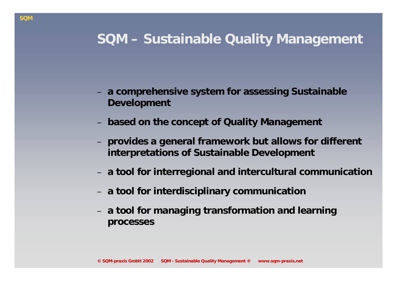### **SQM – Sustainable Quality Management**

- **a comprehensive system for assessing Sustainable Development**
- **based on the concept of Quality Management**
- **provides a general framework but allows for different interpretations of Sustainable Development**
- **a tool for interregional and intercultural communication**
- –**a tool for interdisciplinary communication**
- **a tool for managing transformation and learning processes**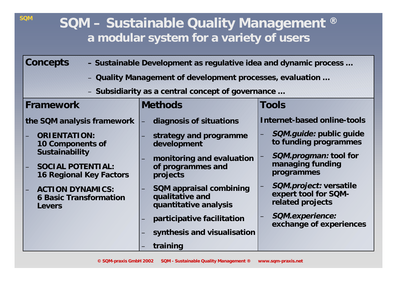### **SQM – Sustainable Quality Management ® a modular system for a variety of users**

**SQM**

| Concepts<br>- Sustainable Development as regulative idea and dynamic process                                                                                                        |                                                                                                                                                   |                                                                                                                                                                                    |  |  |  |  |
|-------------------------------------------------------------------------------------------------------------------------------------------------------------------------------------|---------------------------------------------------------------------------------------------------------------------------------------------------|------------------------------------------------------------------------------------------------------------------------------------------------------------------------------------|--|--|--|--|
| - Quality Management of development processes, evaluation                                                                                                                           |                                                                                                                                                   |                                                                                                                                                                                    |  |  |  |  |
| - Subsidiarity as a central concept of governance                                                                                                                                   |                                                                                                                                                   |                                                                                                                                                                                    |  |  |  |  |
| Framework                                                                                                                                                                           | <b>Methods</b>                                                                                                                                    | Tools                                                                                                                                                                              |  |  |  |  |
| the SQM analysis framework                                                                                                                                                          | diagnosis of situations<br>$\leftharpoons$                                                                                                        | Internet-based online-tools                                                                                                                                                        |  |  |  |  |
| <b>ORIENTATION:</b><br>10 Components of<br>Sustainability<br><b>SOCIAL POTENTIAL:</b><br><b>16 Regional Key Factors</b><br><b>ACTION DYNAMICS:</b><br><b>6 Basic Transformation</b> | strategy and programme<br>development<br>monitoring and evaluation<br>of programmes and<br>projects<br>SQM appraisal combining<br>qualitative and | <i>SQM.guide:</i> public guide<br>to funding programmes<br><i>SQM.progman:</i> tool for<br>managing funding<br>programmes<br><i>SQM.project:</i> versatile<br>expert tool for SQM- |  |  |  |  |
| Levers                                                                                                                                                                              | quantitative analysis                                                                                                                             | related projects<br>SQM.experience:                                                                                                                                                |  |  |  |  |
|                                                                                                                                                                                     | participative facilitation<br>synthesis and visualisation                                                                                         | exchange of experiences                                                                                                                                                            |  |  |  |  |
|                                                                                                                                                                                     | training                                                                                                                                          |                                                                                                                                                                                    |  |  |  |  |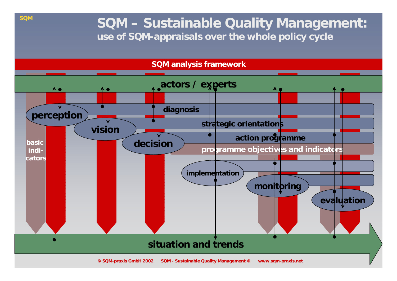### **SQM – Sustainable Quality Management: use of SQM-appraisals over the whole policy cycle**



**SQM**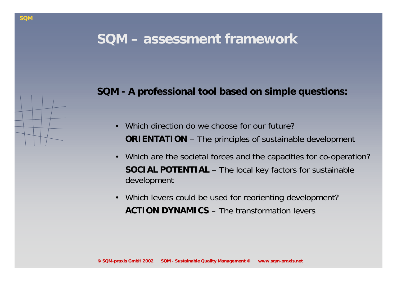### **SQM – assessment framework**

#### **SQM - A professional tool based on simple questions:**

- •Which direction do we choose for our future? **ORIENTATION** – The principles of sustainable development
- • Which are the societal forces and the capacities for co-operation? **SOCIAL POTENTIAL** – The local key factors for sustainable development
- $\bullet$  Which levers could be used for reorienting development? **ACTION DYNAMICS** – The transformation levers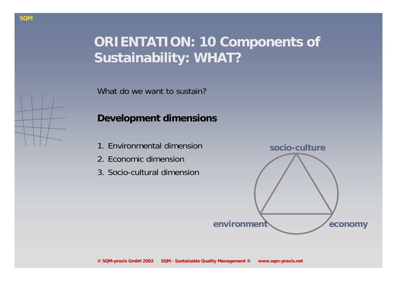# **ORIENTATION: 10 Components of Sustainability: WHAT?**

What do we want to sustain?

#### **Development dimensions**

- 1. Environmental dimension
- 2. Economic dimension
- 3. Socio-cultural dimension

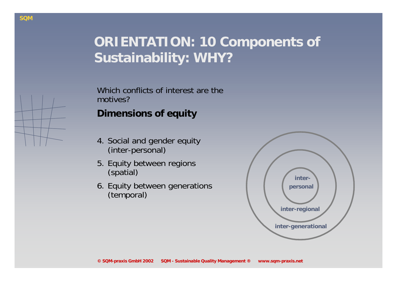## **ORIENTATION: 10 Components of Sustainability: WHY?**

Which conflicts of interest are the motives? **Dimensions of equity**

- 4. Social and gender equity (inter-personal)
- 5. Equity between regions (spatial)
- 6. Equity between generations (temporal)

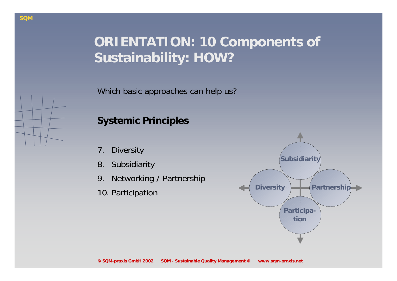# **ORIENTATION: 10 Components of Sustainability: HOW?**

Which basic approaches can help us?

### **Systemic Principles**

- 7. Diversity
- 8. Subsidiarity
- 9. Networking / Partnership
- 



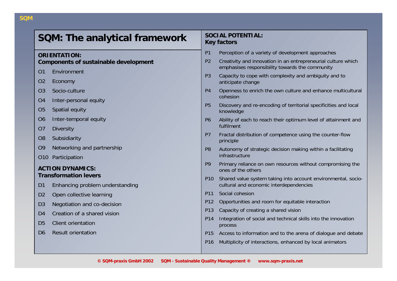| SQM: The analytical framework         |                                 | <b>SOCIAL POTENTIAL:</b><br><b>Key factors</b> |                                                                                                                  |  |  |
|---------------------------------------|---------------------------------|------------------------------------------------|------------------------------------------------------------------------------------------------------------------|--|--|
| <b>ORIENTATION:</b>                   |                                 | P1                                             | Perception of a variety of development approaches                                                                |  |  |
| Components of sustainable development |                                 | P <sub>2</sub>                                 | Creativity and innovation in an entrepreneurial culture which<br>emphasises responsibility towards the community |  |  |
| O <sub>1</sub>                        | Environment                     |                                                | Capacity to cope with complexity and ambiguity and to                                                            |  |  |
| 02                                    | Economy                         | P <sub>3</sub>                                 | anticipate change                                                                                                |  |  |
| O <sub>3</sub>                        | Socio-culture                   | P <sub>4</sub>                                 | Openness to enrich the own culture and enhance multicultural                                                     |  |  |
| O <sub>4</sub>                        | Inter-personal equity           |                                                | cohesion                                                                                                         |  |  |
| O <sub>5</sub>                        | Spatial equity                  | <b>P5</b>                                      | Discovery and re-encoding of territorial specificities and local<br>knowledge                                    |  |  |
| 06                                    | Inter-temporal equity           | P6                                             | Ability of each to reach their optimum level of attainment and                                                   |  |  |
| O <sub>7</sub>                        | <b>Diversity</b>                |                                                | fulfilment                                                                                                       |  |  |
| O <sub>8</sub>                        | Subsidiarity                    | P <sub>7</sub>                                 | Fractal distribution of competence using the counter-flow<br>principle                                           |  |  |
| O <sub>9</sub>                        | Networking and partnership      | P <sub>8</sub>                                 | Autonomy of strategic decision making within a facilitating                                                      |  |  |
| O <sub>10</sub>                       | Participation                   |                                                | infrastructure                                                                                                   |  |  |
|                                       | <b>ACTION DYNAMICS:</b>         | P <sub>9</sub>                                 | Primary reliance on own resources without compromising the<br>ones of the others                                 |  |  |
| <b>Transformation levers</b>          |                                 | P <sub>10</sub>                                | Shared value system taking into account environmental, socio-                                                    |  |  |
| D <sub>1</sub>                        | Enhancing problem understanding |                                                | cultural and economic interdependencies                                                                          |  |  |
| D <sub>2</sub>                        | Open collective learning        | P <sub>11</sub>                                | Social cohesion                                                                                                  |  |  |
| D <sub>3</sub>                        | Negotiation and co-decision     | P12                                            | Opportunities and room for equitable interaction                                                                 |  |  |
| D <sub>4</sub>                        | Creation of a shared vision     | P13                                            | Capacity of creating a shared vision                                                                             |  |  |
| D <sub>5</sub>                        | Client orientation              | P14                                            | Integration of social and technical skills into the innovation<br>process                                        |  |  |
| D <sub>6</sub>                        | <b>Result orientation</b>       | P <sub>15</sub>                                | Access to information and to the arena of dialogue and debate                                                    |  |  |
|                                       |                                 | P16                                            | Multiplicity of interactions, enhanced by local animators                                                        |  |  |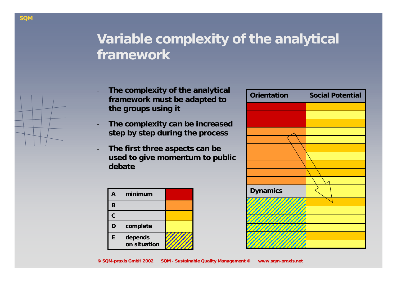## **Variable complexity of the analytical framework**

- **The complexity of the analytical framework must be adapted to the groups using it**
- **The complexity can be increased step by step during the process**
- **The first three aspects can be used to give momentum to public debate**

| A | minimum                 |  |
|---|-------------------------|--|
| B |                         |  |
| C |                         |  |
| D | complete                |  |
| E | depends<br>on situation |  |

| <b>Orientation</b> | <b>Social Potential</b> |
|--------------------|-------------------------|
|                    |                         |
|                    |                         |
|                    |                         |
|                    |                         |
|                    |                         |
|                    |                         |
|                    |                         |
|                    |                         |
|                    |                         |
|                    |                         |
| <b>Dynamics</b>    |                         |
|                    |                         |
|                    |                         |
|                    |                         |
|                    |                         |
|                    |                         |
|                    |                         |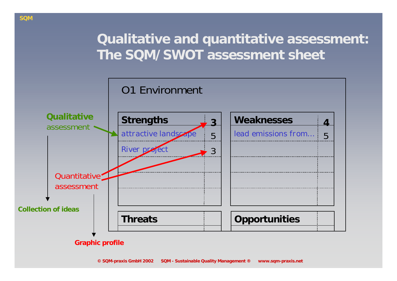### **Qualitative and quantitative assessment: The SQM/SWOT assessment sheet**

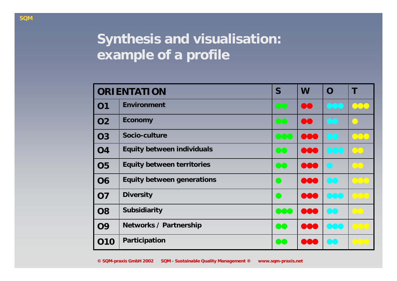# **Synthesis and visualisation: example of a profile**

|                | <b>ORIENTATION</b>                | S                | W              | $\Omega$ |                                                                                                                                                        |
|----------------|-----------------------------------|------------------|----------------|----------|--------------------------------------------------------------------------------------------------------------------------------------------------------|
| 01             | Environment                       |                  | DO             |          |                                                                                                                                                        |
| O <sub>2</sub> | Economy                           |                  | $\mathbf{I}$   |          |                                                                                                                                                        |
| <b>O3</b>      | Socio-culture                     | OOC              | <b>TAGE</b>    |          | $\mathbf{C}$                                                                                                                                           |
| <b>O4</b>      | <b>Equity between individuals</b> | 00               | $\blacksquare$ |          | (T <sub>1</sub> )                                                                                                                                      |
| <b>O5</b>      | <b>Equity between territories</b> | $\bullet\bullet$ | $\blacksquare$ |          | $\left( \begin{array}{c} \lambda \end{array} \right)$                                                                                                  |
| <b>O6</b>      | Equity between generations        |                  | $\blacksquare$ |          | $\sqrt{1}$                                                                                                                                             |
| <b>O7</b>      | <b>Diversity</b>                  |                  |                |          | $\overline{C}$                                                                                                                                         |
| <b>O8</b>      | Subsidiarity                      | 000              | <b>DOO</b>     |          | $\sqrt{2}$                                                                                                                                             |
| <b>09</b>      | <b>Networks / Partnership</b>     | 00               |                |          | $\bigcap$                                                                                                                                              |
| 010            | Participation                     | $\bullet$        |                |          | $\begin{array}{ccc} \begin{array}{ccc} \end{array} & \begin{array}{ccc} \end{array} & \begin{array}{ccc} \end{array} & \begin{array}{ccc} \end{array}$ |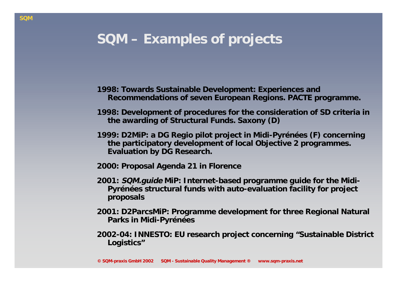### **SQM – Examples of projects**

- **1998: Towards Sustainable Development: Experiences and Recommendations of seven European Regions. PACTE programme.**
- **1998: Development of procedures for the consideration of SD criteria in the awarding of Structural Funds. Saxony (D)**
- **1999: D2MiP: a DG Regio pilot project in Midi-Pyrénées (F) concerning the participatory development of local Objective 2 programmes. Evaluation by DG Research.**
- **2000: Proposal Agenda 21 in Florence**
- **2001: SQM.guide MiP: Internet-based programme guide for the Midi-Pyrénées structural funds with auto-evaluation facility for project proposals**
- **2001: D2ParcsMiP: Programme development for three Regional Natural Parks in Midi-Pyrénées**
- **2002-04: INNESTO: EU research project concerning "Sustainable District Logistics"**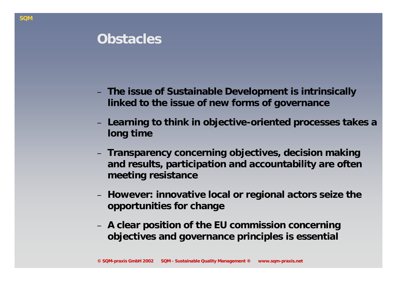### **Obstacles**

- **The issue of Sustainable Development is intrinsically linked to the issue of new forms of governance**
- **Learning to think in objective-oriented processes takes a long time**
- **Transparency concerning objectives, decision making and results, participation and accountability are often meeting resistance**
- **However: innovative local or regional actors seize the opportunities for change**
- – **A clear position of the EU commission concerning objectives and governance principles is essential**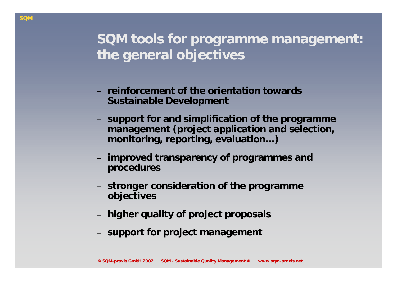### **SQM tools for programme management: the general objectives**

- **reinforcement of the orientation towards Sustainable Development**
- **support for and simplification of the programme management (project application and selection, monitoring, reporting, evaluation…)**
- **improved transparency of programmes and procedures**
- – **stronger consideration of the programme objectives**
- **higher quality of project proposals**
- –**support for project management**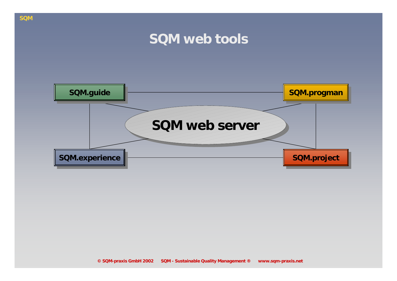### **SQM web tools**

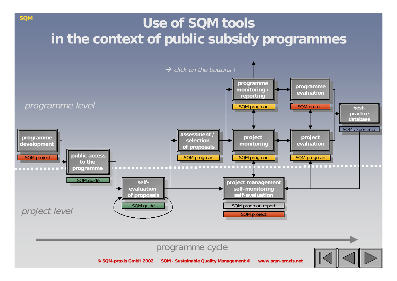# **Use of SQM tools in the context of public subsidy programmes**

**SQM**



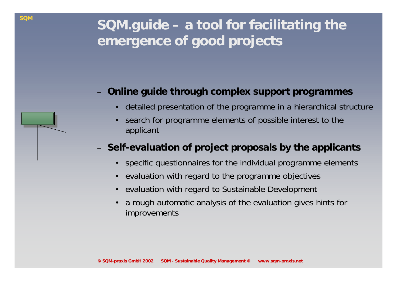#### **Online guide through complex support programmes**

- •detailed presentation of the programme in a hierarchical structure
- • search for programme elements of possible interest to the applicant

### **Self-evaluation of project proposals by the applicants**

- •specific questionnaires for the individual programme elements
- •evaluation with regard to the programme objectives
- •evaluation with regard to Sustainable Development
- • a rough automatic analysis of the evaluation gives hints for improvements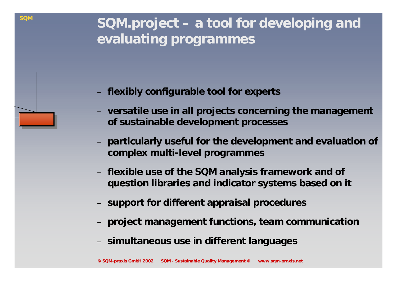**SQM.project – a tool for developing and evaluating programmes** 

**flexibly configurable tool for experts** 

**SQM**

- **versatile use in all projects concerning the management of sustainable development processes**
- **particularly useful for the development and evaluation of complex multi-level programmes**
- **flexible use of the SQM analysis framework and of question libraries and indicator systems based on it**
- –**support for different appraisal procedures**
- **project management functions, team communication**
- –**simultaneous use in different languages**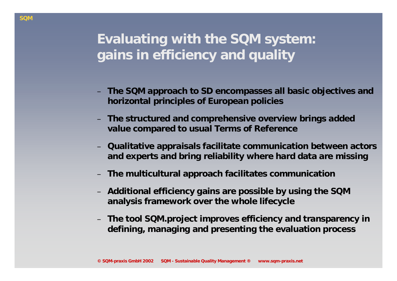# **Evaluating with the SQM system: gains in efficiency and quality**

- **The SQM approach to SD encompasses all basic objectives and horizontal principles of European policies**
- **The structured and comprehensive overview brings added value compared to usual Terms of Reference**
- **Qualitative appraisals facilitate communication between actors and experts and bring reliability where hard data are missing**
- **The multicultural approach facilitates communication**
- **Additional efficiency gains are possible by using the SQM analysis framework over the whole lifecycle**
- **The tool SQM.project improves efficiency and transparency in defining, managing and presenting the evaluation process**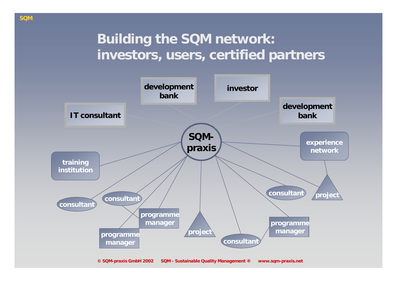### **Building the SQM network: investors, users, certified partners**



**© SQM-praxis GmbH 2002 SQM - Sustainable Quality Management ® www.sqm-praxis.net**